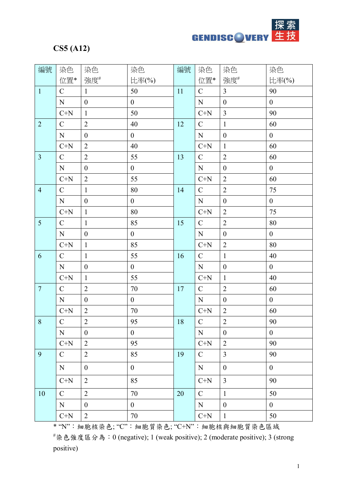

## **CS5 (A12)**

| 編號             | 染色            | 染色               | 染色               | 編號 | 染色                             | 染色               | 染色               |
|----------------|---------------|------------------|------------------|----|--------------------------------|------------------|------------------|
|                | 位置*           | 強度#              | 比率(%)            |    | 位置*                            | 強度#              | 比率(%)            |
| $\mathbf{1}$   | $\mathcal{C}$ | $\mathbf{1}$     | 50               | 11 | $\mathcal{C}$                  | $\overline{3}$   | 90               |
|                | ${\bf N}$     | $\boldsymbol{0}$ | $\boldsymbol{0}$ |    | ${\bf N}$                      | $\boldsymbol{0}$ | $\overline{0}$   |
|                | $C+N$         | $\mathbf{1}$     | 50               |    | $C+N$                          | $\overline{3}$   | 90               |
| $\overline{2}$ | $\mathcal{C}$ | $\overline{2}$   | 40               | 12 | $\mathcal{C}$                  | $\mathbf{1}$     | 60               |
|                | ${\bf N}$     | $\boldsymbol{0}$ | $\overline{0}$   |    | ${\bf N}$                      | $\boldsymbol{0}$ | $\overline{0}$   |
|                | $C+N$         | $\overline{2}$   | 40               |    | $C+N$                          | $\mathbf{1}$     | 60               |
| $\overline{3}$ | $\mathcal{C}$ | $\overline{2}$   | 55               | 13 | $\mathbf C$                    | $\overline{2}$   | 60               |
|                | ${\bf N}$     | $\boldsymbol{0}$ | $\overline{0}$   |    | ${\bf N}$                      | $\boldsymbol{0}$ | $\overline{0}$   |
|                | $C+N$         | $\overline{2}$   | 55               |    | $C+N$                          | $\overline{2}$   | 60               |
| $\overline{4}$ | $\mathcal{C}$ | $\mathbf{1}$     | 80               | 14 | $\mathcal{C}$                  | $\overline{2}$   | 75               |
|                | ${\bf N}$     | $\boldsymbol{0}$ | $\boldsymbol{0}$ |    | ${\bf N}$                      | $\boldsymbol{0}$ | $\boldsymbol{0}$ |
|                | $C+N$         | $\mathbf{1}$     | 80               |    | $C+N$                          | $\overline{2}$   | 75               |
| 5              | $\mathcal{C}$ | $\mathbf{1}$     | 85               | 15 | $\mathcal{C}$                  | $\overline{2}$   | 80               |
|                | ${\bf N}$     | $\boldsymbol{0}$ | $\boldsymbol{0}$ |    | ${\bf N}$                      | $\boldsymbol{0}$ | $\overline{0}$   |
|                | $C+N$         | $\mathbf{1}$     | 85               |    | $C+N$                          | $\overline{2}$   | $80\,$           |
| 6              | $\mathcal{C}$ | $\mathbf{1}$     | 55               | 16 | $\mathcal{C}$                  | $\mathbf{1}$     | 40               |
|                | ${\bf N}$     | $\boldsymbol{0}$ | $\boldsymbol{0}$ |    | ${\bf N}$                      | $\boldsymbol{0}$ | $\overline{0}$   |
|                | $C+N$         | $\mathbf{1}$     | 55               |    | $C+N$                          | $\mathbf{1}$     | 40               |
| $\overline{7}$ | $\mathcal{C}$ | $\overline{2}$   | $70\,$           | 17 | $\mathbf C$                    | $\overline{2}$   | 60               |
|                | ${\bf N}$     | $\boldsymbol{0}$ | $\boldsymbol{0}$ |    | ${\bf N}$                      | $\boldsymbol{0}$ | $\overline{0}$   |
|                | $C+N$         | $\overline{2}$   | 70               |    | $C+N$                          | $\overline{2}$   | 60               |
| 8              | $\mathcal{C}$ | $\overline{2}$   | 95               | 18 | $\mathcal{C}$                  | $\overline{2}$   | 90               |
|                | ${\bf N}$     | $\boldsymbol{0}$ | $\boldsymbol{0}$ |    | ${\bf N}$                      | $\boldsymbol{0}$ | $\boldsymbol{0}$ |
|                | $C+N$         | $\overline{2}$   | 95               |    | $\mathrm{C}\text{+}\mathrm{N}$ | $\overline{2}$   | 90               |
| 9              | $\mathcal{C}$ | $\overline{2}$   | 85               | 19 | $\mathcal{C}$                  | $\overline{3}$   | 90               |
|                | N             | $\boldsymbol{0}$ | $\overline{0}$   |    | ${\bf N}$                      | $\boldsymbol{0}$ | $\overline{0}$   |
|                | $C+N$         | $\overline{2}$   | 85               |    | $C+N$                          | $\overline{3}$   | 90               |
| $10\,$         | ${\bf C}$     | $\overline{2}$   | 70               | 20 | $\mathbf C$                    | $\mathbf{1}$     | 50               |
|                | N             | $\boldsymbol{0}$ | $\overline{0}$   |    | ${\bf N}$                      | $\boldsymbol{0}$ | $\overline{0}$   |
|                | $C+N$         | $\overline{2}$   | 70               |    | $C+N$                          | $\mathbf{1}$     | 50               |

\* "N":細胞核染色; "C":細胞質染色; "C+N":細胞核與細胞質染色區域

#染色強度區分為:0 (negative); 1 (weak positive); 2 (moderate positive); 3 (strong positive)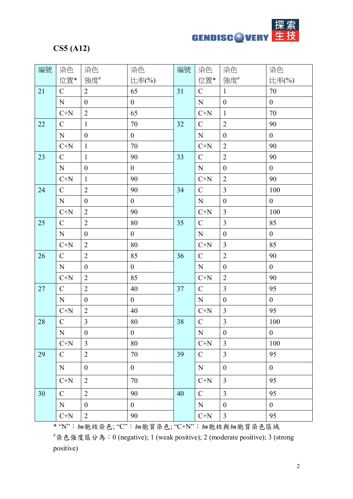**GENDISCOVERY** 

## **CS5 (A12)**

| 編號 | 染色            | 染色               | 染色               | 編號 | 染色            | 染色               | 染色               |
|----|---------------|------------------|------------------|----|---------------|------------------|------------------|
|    | 位置*           | 強度#              | 比率(%)            |    | 位置*           | 強度#              | 比率(%)            |
| 21 | $\mathbf C$   | $\overline{2}$   | 65               | 31 | $\mathcal{C}$ | $\mathbf{1}$     | 70               |
|    | ${\bf N}$     | $\boldsymbol{0}$ | $\boldsymbol{0}$ |    | ${\bf N}$     | $\boldsymbol{0}$ | $\boldsymbol{0}$ |
|    | $C+N$         | $\overline{2}$   | 65               |    | $C+N$         | $\mathbf{1}$     | 70               |
| 22 | $\mathcal{C}$ | $\mathbf{1}$     | 70               | 32 | $\mathcal{C}$ | $\overline{2}$   | 90               |
|    | $\mathbf N$   | $\boldsymbol{0}$ | $\boldsymbol{0}$ |    | ${\bf N}$     | $\boldsymbol{0}$ | $\overline{0}$   |
|    | $C+N$         | $\mathbf{1}$     | 70               |    | $C+N$         | $\overline{2}$   | 90               |
| 23 | $\mathbf C$   | $\mathbf{1}$     | 90               | 33 | $\mathbf C$   | $\overline{2}$   | 90               |
|    | ${\bf N}$     | $\boldsymbol{0}$ | $\boldsymbol{0}$ |    | ${\bf N}$     | $\boldsymbol{0}$ | $\boldsymbol{0}$ |
|    | $C+N$         | $\mathbf{1}$     | 90               |    | $C+N$         | $\overline{2}$   | 90               |
| 24 | $\mathbf C$   | $\overline{2}$   | 90               | 34 | $\mathcal{C}$ | $\overline{3}$   | 100              |
|    | ${\bf N}$     | $\boldsymbol{0}$ | $\boldsymbol{0}$ |    | ${\bf N}$     | $\boldsymbol{0}$ | $\boldsymbol{0}$ |
|    | $C+N$         | $\overline{2}$   | 90               |    | $C+N$         | $\overline{3}$   | 100              |
| 25 | $\mathcal{C}$ | $\overline{2}$   | 80               | 35 | $\mathcal{C}$ | $\overline{3}$   | 85               |
|    | ${\bf N}$     | $\boldsymbol{0}$ | $\boldsymbol{0}$ |    | ${\bf N}$     | $\boldsymbol{0}$ | $\overline{0}$   |
|    | $C+N$         | $\overline{2}$   | 80               |    | $C+N$         | $\overline{3}$   | 85               |
| 26 | $\mathcal{C}$ | $\overline{2}$   | 85               | 36 | $\mathcal{C}$ | $\overline{2}$   | 90               |
|    | ${\bf N}$     | $\boldsymbol{0}$ | $\overline{0}$   |    | ${\bf N}$     | $\boldsymbol{0}$ | $\overline{0}$   |
|    | $C+N$         | $\overline{2}$   | 85               |    | $C+N$         | $\overline{2}$   | 90               |
| 27 | $\mathcal{C}$ | $\overline{2}$   | 40               | 37 | $\mathbf C$   | $\overline{3}$   | 95               |
|    | ${\bf N}$     | $\boldsymbol{0}$ | $\boldsymbol{0}$ |    | ${\bf N}$     | $\boldsymbol{0}$ | $\boldsymbol{0}$ |
|    | $C+N$         | $\overline{2}$   | 40               |    | $C+N$         | $\overline{3}$   | 95               |
| 28 | $\mathcal{C}$ | $\mathfrak{Z}$   | 80               | 38 | $\mathcal{C}$ | $\mathfrak{Z}$   | 100              |
|    | ${\bf N}$     | $\boldsymbol{0}$ | $\boldsymbol{0}$ |    | ${\bf N}$     | $\boldsymbol{0}$ | $\boldsymbol{0}$ |
|    | $C+N$         | $\overline{3}$   | $80\,$           |    | $C+N$         | $\overline{3}$   | 100              |
| 29 | $\mathbf C$   | $\overline{2}$   | 70               | 39 | $\mathbf C$   | $\overline{3}$   | 95               |
|    | N             | $\boldsymbol{0}$ | $\boldsymbol{0}$ |    | ${\bf N}$     | $\boldsymbol{0}$ | $\overline{0}$   |
|    | $C+N$         | $\overline{2}$   | 70               |    | $C+N$         | $\overline{3}$   | 95               |
| 30 | $\mathbf C$   | $\overline{2}$   | 90               | 40 | $\mathbf C$   | $\overline{3}$   | 95               |
|    | N             | $\boldsymbol{0}$ | $\overline{0}$   |    | ${\bf N}$     | $\boldsymbol{0}$ | $\overline{0}$   |
|    | $C+N$         | $\overline{2}$   | 90               |    | $C+N$         | $\overline{3}$   | 95               |

\* "N":細胞核染色; "C":細胞質染色; "C+N":細胞核與細胞質染色區域

#染色強度區分為:0 (negative); 1 (weak positive); 2 (moderate positive); 3 (strong positive)